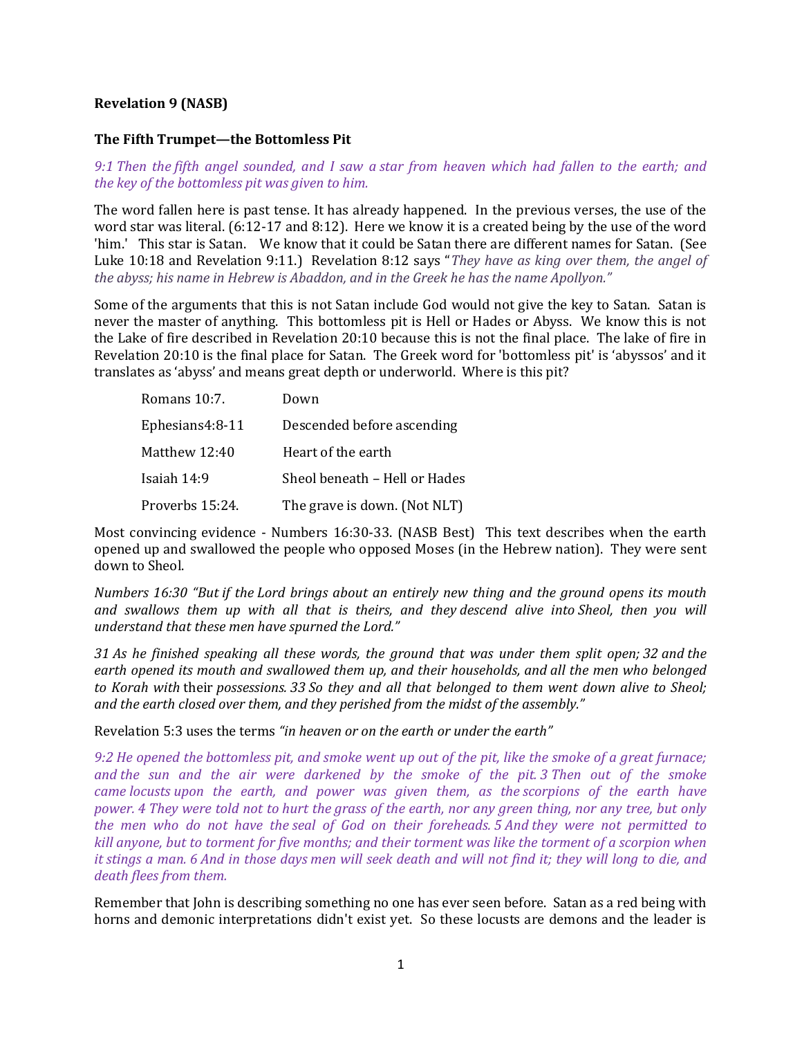## Revelation 9 (NASB)

## The Fifth Trumpet—the Bottomless Pit

9:1 Then the fifth angel sounded, and I saw a star from heaven which had fallen to the earth; and the key of the bottomless pit was given to him.

The word fallen here is past tense. It has already happened. In the previous verses, the use of the word star was literal. (6:12-17 and 8:12). Here we know it is a created being by the use of the word 'him.' This star is Satan. We know that it could be Satan there are different names for Satan. (See Luke 10:18 and Revelation 9:11.) Revelation 8:12 says "They have as king over them, the angel of the abyss; his name in Hebrew is Abaddon, and in the Greek he has the name Apollyon."

Some of the arguments that this is not Satan include God would not give the key to Satan. Satan is never the master of anything. This bottomless pit is Hell or Hades or Abyss. We know this is not the Lake of fire described in Revelation 20:10 because this is not the final place. The lake of fire in Revelation 20:10 is the final place for Satan. The Greek word for 'bottomless pit' is 'abyssos' and it translates as 'abyss' and means great depth or underworld. Where is this pit?

| Romans 10:7.    | Down                          |
|-----------------|-------------------------------|
| Ephesians4:8-11 | Descended before ascending    |
| Matthew 12:40   | Heart of the earth            |
| Isaiah 14:9     | Sheol beneath – Hell or Hades |
| Proverbs 15:24. | The grave is down. (Not NLT)  |

Most convincing evidence - Numbers 16:30-33. (NASB Best) This text describes when the earth opened up and swallowed the people who opposed Moses (in the Hebrew nation). They were sent down to Sheol.

Numbers 16:30 "But if the Lord brings about an entirely new thing and the ground opens its mouth and swallows them up with all that is theirs, and they descend alive into Sheol, then you will understand that these men have spurned the Lord."

31 As he finished speaking all these words, the ground that was under them split open; 32 and the earth opened its mouth and swallowed them up, and their households, and all the men who belonged to Korah with their possessions. 33 So they and all that belonged to them went down alive to Sheol; and the earth closed over them, and they perished from the midst of the assembly."

Revelation 5:3 uses the terms "in heaven or on the earth or under the earth"

9:2 He opened the bottomless pit, and smoke went up out of the pit, like the smoke of a great furnace; and the sun and the air were darkened by the smoke of the pit. 3 Then out of the smoke came locusts upon the earth, and power was given them, as the scorpions of the earth have power. 4 They were told not to hurt the grass of the earth, nor any green thing, nor any tree, but only the men who do not have the seal of God on their foreheads. 5 And they were not permitted to kill anyone, but to torment for five months; and their torment was like the torment of a scorpion when it stings a man. 6 And in those days men will seek death and will not find it; they will long to die, and death flees from them.

Remember that John is describing something no one has ever seen before. Satan as a red being with horns and demonic interpretations didn't exist yet. So these locusts are demons and the leader is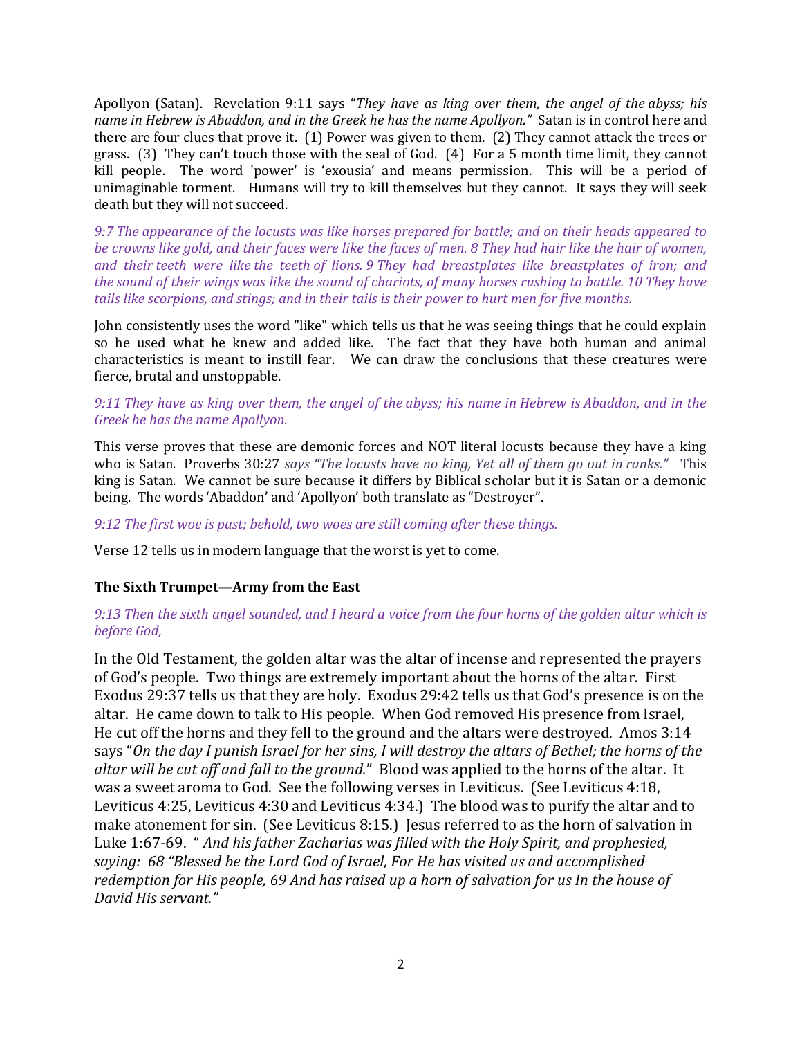Apollyon (Satan). Revelation 9:11 says "They have as king over them, the angel of the abyss; his name in Hebrew is Abaddon, and in the Greek he has the name Apollyon." Satan is in control here and there are four clues that prove it. (1) Power was given to them. (2) They cannot attack the trees or grass. (3) They can't touch those with the seal of God. (4) For a 5 month time limit, they cannot kill people. The word 'power' is 'exousia' and means permission. This will be a period of unimaginable torment. Humans will try to kill themselves but they cannot. It says they will seek death but they will not succeed.

9:7 The appearance of the locusts was like horses prepared for battle; and on their heads appeared to be crowns like gold, and their faces were like the faces of men. 8 They had hair like the hair of women, and their teeth were like the teeth of lions. 9 They had breastplates like breastplates of iron; and the sound of their wings was like the sound of chariots, of many horses rushing to battle. 10 They have tails like scorpions, and stings; and in their tails is their power to hurt men for five months.

John consistently uses the word "like" which tells us that he was seeing things that he could explain so he used what he knew and added like. The fact that they have both human and animal characteristics is meant to instill fear. We can draw the conclusions that these creatures were fierce, brutal and unstoppable.

## 9:11 They have as king over them, the angel of the abyss; his name in Hebrew is Abaddon, and in the Greek he has the name Apollyon.

This verse proves that these are demonic forces and NOT literal locusts because they have a king who is Satan. Proverbs 30:27 says "The locusts have no king, Yet all of them go out in ranks." This king is Satan. We cannot be sure because it differs by Biblical scholar but it is Satan or a demonic being. The words 'Abaddon' and 'Apollyon' both translate as "Destroyer".

### 9:12 The first woe is past; behold, two woes are still coming after these things.

Verse 12 tells us in modern language that the worst is yet to come.

### The Sixth Trumpet—Army from the East

# 9:13 Then the sixth angel sounded, and I heard a voice from the four horns of the golden altar which is before God,

In the Old Testament, the golden altar was the altar of incense and represented the prayers of God's people. Two things are extremely important about the horns of the altar. First Exodus 29:37 tells us that they are holy. Exodus 29:42 tells us that God's presence is on the altar. He came down to talk to His people. When God removed His presence from Israel, He cut off the horns and they fell to the ground and the altars were destroyed. Amos 3:14 says "On the day I punish Israel for her sins, I will destroy the altars of Bethel; the horns of the altar will be cut off and fall to the ground." Blood was applied to the horns of the altar. It was a sweet aroma to God. See the following verses in Leviticus. (See Leviticus 4:18, Leviticus 4:25, Leviticus 4:30 and Leviticus 4:34.) The blood was to purify the altar and to make atonement for sin. (See Leviticus 8:15.) Jesus referred to as the horn of salvation in Luke 1:67-69. " And his father Zacharias was filled with the Holy Spirit, and prophesied, saying: 68 "Blessed be the Lord God of Israel, For He has visited us and accomplished redemption for His people, 69 And has raised up a horn of salvation for us In the house of David His servant."